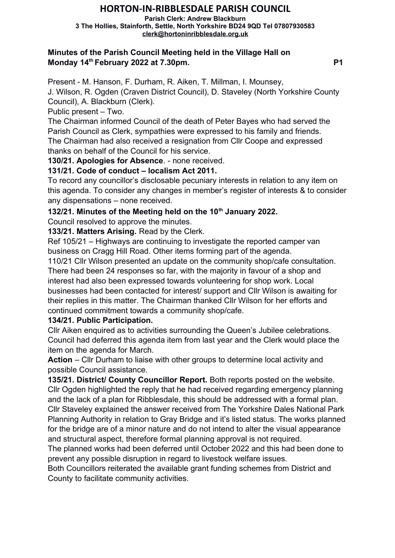# **HORTON-IN-RIBBLESDALE PARISH COUNCIL**

**Parish Clerk: Andrew Blackburn 3 The Hollies, Stainforth, Settle, North Yorkshire BD24 9QD Tel 07807930583 [clerk@hortoninribblesdale.org.uk](mailto:clerk@hortoninribblesdale.org.uk)**

#### **Minutes of the Parish Council Meeting held in the Village Hall on Monday 14<sup>th</sup> February 2022 at 7.30pm.** P1

Present - M. Hanson, F. Durham, R. Aiken, T. Millman, I. Mounsey,

J. Wilson, R. Ogden (Craven District Council), D. Staveley (North Yorkshire County Council), A. Blackburn (Clerk).

Public present – Two.

The Chairman informed Council of the death of Peter Bayes who had served the Parish Council as Clerk, sympathies were expressed to his family and friends. The Chairman had also received a resignation from Cllr Coope and expressed thanks on behalf of the Council for his service.

**130/21. Apologies for Absence**. - none received.

## **131/21. Code of conduct – localism Act 2011.**

To record any councillor's disclosable pecuniary interests in relation to any item on this agenda. To consider any changes in member's register of interests & to consider any dispensations – none received.

**132/21. Minutes of the Meeting held on the 10th January 2022.** 

Council resolved to approve the minutes.

**133/21. Matters Arising.** Read by the Clerk.

Ref 105/21 – Highways are continuing to investigate the reported camper van business on Cragg Hill Road. Other items forming part of the agenda.

110/21 Cllr Wilson presented an update on the community shop/cafe consultation. There had been 24 responses so far, with the majority in favour of a shop and interest had also been expressed towards volunteering for shop work. Local businesses had been contacted for interest/ support and Cllr Wilson is awaiting for their replies in this matter. The Chairman thanked Cllr Wilson for her efforts and continued commitment towards a community shop/cafe.

## **134/21. Public Participation.**

Cllr Aiken enquired as to activities surrounding the Queen's Jubilee celebrations. Council had deferred this agenda item from last year and the Clerk would place the item on the agenda for March.

**Action** – Cllr Durham to liaise with other groups to determine local activity and possible Council assistance.

**135/21. District/ County Councillor Report.** Both reports posted on the website. Cllr Ogden highlighted the reply that he had received regarding emergency planning and the lack of a plan for Ribblesdale, this should be addressed with a formal plan. Cllr Staveley explained the answer received from The Yorkshire Dales National Park Planning Authority in relation to Gray Bridge and it's listed status. The works planned for the bridge are of a minor nature and do not intend to alter the visual appearance and structural aspect, therefore formal planning approval is not required.

The planned works had been deferred until October 2022 and this had been done to prevent any possible disruption in regard to livestock welfare issues.

Both Councillors reiterated the available grant funding schemes from District and County to facilitate community activities.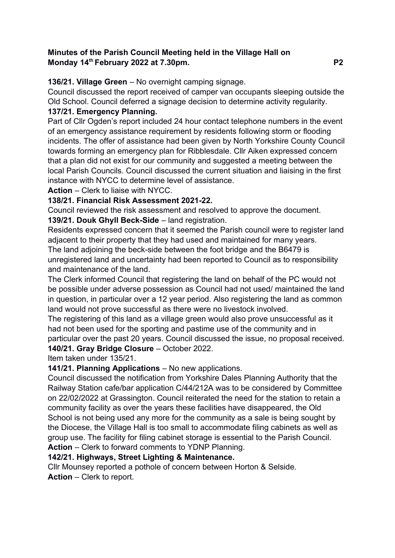#### **Minutes of the Parish Council Meeting held in the Village Hall on Monday 14th February 2022 at 7.30pm. P2**

**136/21. Village Green** – No overnight camping signage.

Council discussed the report received of camper van occupants sleeping outside the Old School. Council deferred a signage decision to determine activity regularity.

## **137/21. Emergency Planning.**

Part of Cllr Ogden's report included 24 hour contact telephone numbers in the event of an emergency assistance requirement by residents following storm or flooding incidents. The offer of assistance had been given by North Yorkshire County Council towards forming an emergency plan for Ribblesdale. Cllr Aiken expressed concern that a plan did not exist for our community and suggested a meeting between the local Parish Councils. Council discussed the current situation and liaising in the first instance with NYCC to determine level of assistance.

**Action** – Clerk to liaise with NYCC.

## **138/21. Financial Risk Assessment 2021-22.**

Council reviewed the risk assessment and resolved to approve the document. **139/21. Douk Ghyll Beck-Side** – land registration.

Residents expressed concern that it seemed the Parish council were to register land adjacent to their property that they had used and maintained for many years. The land adjoining the beck-side between the foot bridge and the B6479 is unregistered land and uncertainty had been reported to Council as to responsibility

and maintenance of the land.

The Clerk informed Council that registering the land on behalf of the PC would not be possible under adverse possession as Council had not used/ maintained the land in question, in particular over a 12 year period. Also registering the land as common land would not prove successful as there were no livestock involved.

The registering of this land as a village green would also prove unsuccessful as it had not been used for the sporting and pastime use of the community and in particular over the past 20 years. Council discussed the issue, no proposal received. **140/21. Gray Bridge Closure** – October 2022.

Item taken under 135/21.

## **141/21. Planning Applications** – No new applications.

Council discussed the notification from Yorkshire Dales Planning Authority that the Railway Station cafe/bar application C/44/212A was to be considered by Committee on 22/02/2022 at Grassington. Council reiterated the need for the station to retain a community facility as over the years these facilities have disappeared, the Old School is not being used any more for the community as a sale is being sought by the Diocese, the Village Hall is too small to accommodate filing cabinets as well as group use. The facility for filing cabinet storage is essential to the Parish Council. **Action** – Clerk to forward comments to YDNP Planning.

## **142/21. Highways, Street Lighting & Maintenance.**

Cllr Mounsey reported a pothole of concern between Horton & Selside. **Action** – Clerk to report.